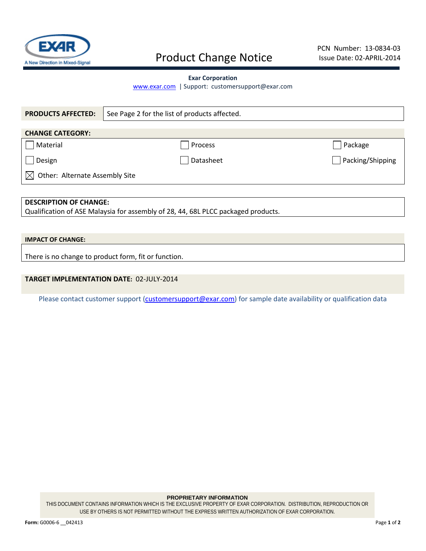

# Product Change Notice

### **Exar Corporation**

[www.exar.com](http://www.exar.com/) | Support: customersupport@exar.com

| <b>PRODUCTS AFFECTED:</b>                                                         | See Page 2 for the list of products affected.        |                  |  |  |  |  |  |  |
|-----------------------------------------------------------------------------------|------------------------------------------------------|------------------|--|--|--|--|--|--|
|                                                                                   |                                                      |                  |  |  |  |  |  |  |
| <b>CHANGE CATEGORY:</b>                                                           |                                                      |                  |  |  |  |  |  |  |
| Material                                                                          | Process                                              | Package          |  |  |  |  |  |  |
| Design                                                                            | Datasheet                                            | Packing/Shipping |  |  |  |  |  |  |
| Other: Alternate Assembly Site<br>$\bowtie$                                       |                                                      |                  |  |  |  |  |  |  |
|                                                                                   |                                                      |                  |  |  |  |  |  |  |
| <b>DESCRIPTION OF CHANGE:</b>                                                     |                                                      |                  |  |  |  |  |  |  |
| Qualification of ASE Malaysia for assembly of 28, 44, 68L PLCC packaged products. |                                                      |                  |  |  |  |  |  |  |
|                                                                                   |                                                      |                  |  |  |  |  |  |  |
| <b>IMPACT OF CHANGE:</b>                                                          |                                                      |                  |  |  |  |  |  |  |
|                                                                                   | There is no change to product form, fit or function. |                  |  |  |  |  |  |  |

## **TARGET IMPLEMENTATION DATE:** 02-JULY-2014

Please contact customer support [\(customersupport@exar.com\)](mailto:customersupport@exar.com) for sample date availability or qualification data

#### **PROPRIETARY INFORMATION**

THIS DOCUMENT CONTAINS INFORMATION WHICH IS THE EXCLUSIVE PROPERTY OF EXAR CORPORATION. DISTRIBUTION, REPRODUCTION OR USE BY OTHERS IS NOT PERMITTED WITHOUT THE EXPRESS WRITTEN AUTHORIZATION OF EXAR CORPORATION.